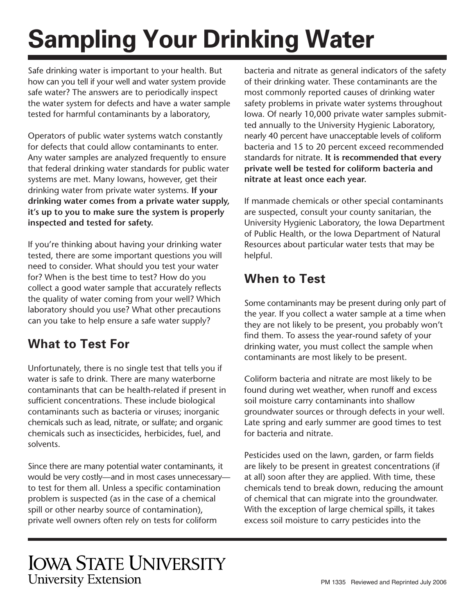# **Sampling Your Drinking Water**

Safe drinking water is important to your health. But how can you tell if your well and water system provide safe water? The answers are to periodically inspect the water system for defects and have a water sample tested for harmful contaminants by a laboratory,

Operators of public water systems watch constantly for defects that could allow contaminants to enter. Any water samples are analyzed frequently to ensure that federal drinking water standards for public water systems are met. Many Iowans, however, get their drinking water from private water systems. **If your drinking water comes from a private water supply, it's up to you to make sure the system is properly inspected and tested for safety.** 

If you're thinking about having your drinking water tested, there are some important questions you will need to consider. What should you test your water for? When is the best time to test? How do you collect a good water sample that accurately reflects the quality of water coming from your well? Which laboratory should you use? What other precautions can you take to help ensure a safe water supply?

### **What to Test For**

Unfortunately, there is no single test that tells you if water is safe to drink. There are many waterborne contaminants that can be health-related if present in sufficient concentrations. These include biological contaminants such as bacteria or viruses; inorganic chemicals such as lead, nitrate, or sulfate; and organic chemicals such as insecticides, herbicides, fuel, and solvents.

Since there are many potential water contaminants, it would be very costly—and in most cases unnecessary to test for them all. Unless a specific contamination problem is suspected (as in the case of a chemical spill or other nearby source of contamination), private well owners often rely on tests for coliform

bacteria and nitrate as general indicators of the safety of their drinking water. These contaminants are the most commonly reported causes of drinking water safety problems in private water systems throughout Iowa. Of nearly 10,000 private water samples submitted annually to the University Hygienic Laboratory, nearly 40 percent have unacceptable levels of coliform bacteria and 15 to 20 percent exceed recommended standards for nitrate. **It is recommended that every private well be tested for coliform bacteria and nitrate at least once each year.** 

If manmade chemicals or other special contaminants are suspected, consult your county sanitarian, the University Hygienic Laboratory, the Iowa Department of Public Health, or the Iowa Department of Natural Resources about particular water tests that may be helpful.

#### **When to Test**

Some contaminants may be present during only part of the year. If you collect a water sample at a time when they are not likely to be present, you probably won't find them. To assess the year-round safety of your drinking water, you must collect the sample when contaminants are most likely to be present.

Coliform bacteria and nitrate are most likely to be found during wet weather, when runoff and excess soil moisture carry contaminants into shallow groundwater sources or through defects in your well. Late spring and early summer are good times to test for bacteria and nitrate.

Pesticides used on the lawn, garden, or farm fields are likely to be present in greatest concentrations (if at all) soon after they are applied. With time, these chemicals tend to break down, reducing the amount of chemical that can migrate into the groundwater. With the exception of large chemical spills, it takes excess soil moisture to carry pesticides into the

## **IOWA STATE UNIVERSITY University Extension**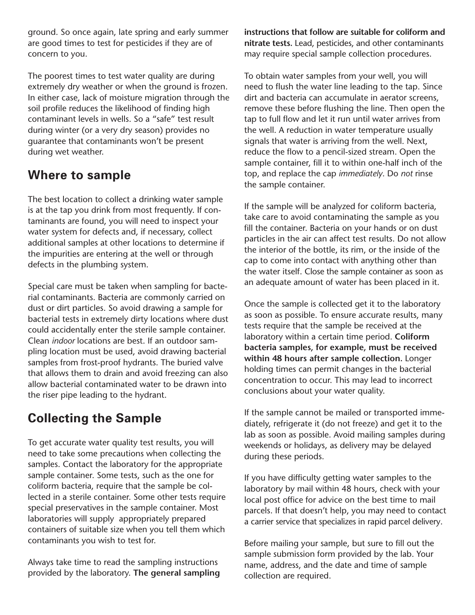ground. So once again, late spring and early summer are good times to test for pesticides if they are of concern to you.

The poorest times to test water quality are during extremely dry weather or when the ground is frozen. In either case, lack of moisture migration through the soil profile reduces the likelihood of finding high contaminant levels in wells. So a "safe" test result during winter (or a very dry season) provides no guarantee that contaminants won't be present during wet weather.

#### **Where to sample**

The best location to collect a drinking water sample is at the tap you drink from most frequently. If contaminants are found, you will need to inspect your water system for defects and, if necessary, collect additional samples at other locations to determine if the impurities are entering at the well or through defects in the plumbing system.

Special care must be taken when sampling for bacterial contaminants. Bacteria are commonly carried on dust or dirt particles. So avoid drawing a sample for bacterial tests in extremely dirty locations where dust could accidentally enter the sterile sample container. Clean *indoor* locations are best. If an outdoor sampling location must be used, avoid drawing bacterial samples from frost-proof hydrants. The buried valve that allows them to drain and avoid freezing can also allow bacterial contaminated water to be drawn into the riser pipe leading to the hydrant.

### **Collecting the Sample**

To get accurate water quality test results, you will need to take some precautions when collecting the samples. Contact the laboratory for the appropriate sample container. Some tests, such as the one for coliform bacteria, require that the sample be collected in a sterile container. Some other tests require special preservatives in the sample container. Most laboratories will supply appropriately prepared containers of suitable size when you tell them which contaminants you wish to test for.

Always take time to read the sampling instructions provided by the laboratory. **The general sampling**  **instructions that follow are suitable for coliform and nitrate tests.** Lead, pesticides, and other contaminants may require special sample collection procedures.

To obtain water samples from your well, you will need to flush the water line leading to the tap. Since dirt and bacteria can accumulate in aerator screens, remove these before flushing the line. Then open the tap to full flow and let it run until water arrives from the well. A reduction in water temperature usually signals that water is arriving from the well. Next, reduce the flow to a pencil-sized stream. Open the sample container, fill it to within one-half inch of the top, and replace the cap *immediately*. Do *not* rinse the sample container.

If the sample will be analyzed for coliform bacteria, take care to avoid contaminating the sample as you fill the container. Bacteria on your hands or on dust particles in the air can affect test results. Do not allow the interior of the bottle, its rim, or the inside of the cap to come into contact with anything other than the water itself. Close the sample container as soon as an adequate amount of water has been placed in it.

Once the sample is collected get it to the laboratory as soon as possible. To ensure accurate results, many tests require that the sample be received at the laboratory within a certain time period. **Coliform bacteria samples, for example, must be received within 48 hours after sample collection.** Longer holding times can permit changes in the bacterial concentration to occur. This may lead to incorrect conclusions about your water quality.

If the sample cannot be mailed or transported immediately, refrigerate it (do not freeze) and get it to the lab as soon as possible. Avoid mailing samples during weekends or holidays, as delivery may be delayed during these periods.

If you have difficulty getting water samples to the laboratory by mail within 48 hours, check with your local post office for advice on the best time to mail parcels. If that doesn't help, you may need to contact a carrier service that specializes in rapid parcel delivery.

Before mailing your sample, but sure to fill out the sample submission form provided by the lab. Your name, address, and the date and time of sample collection are required.